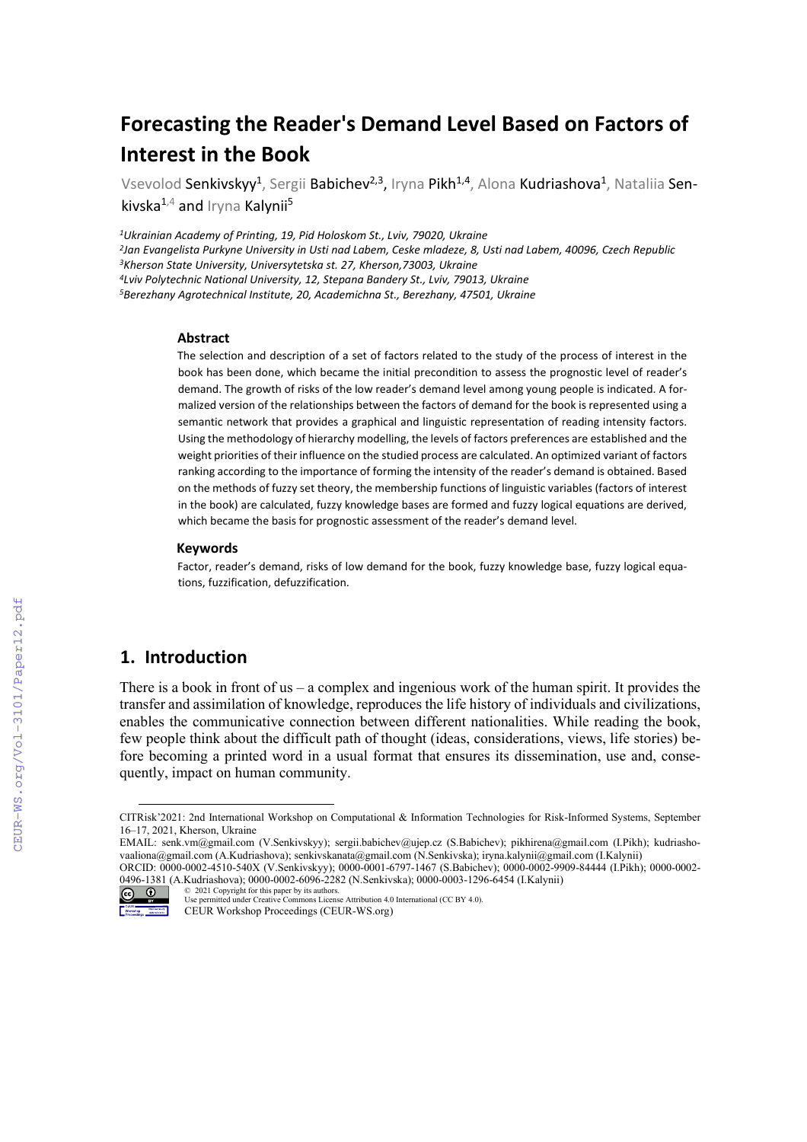# **Forecasting the Reader's Demand Level Based on Factors of Interest in the Book**

Vsevolod Senkivskyy<sup>1</sup>, Sergii Babichev<sup>2,3</sup>, Iryna Pikh<sup>1,4</sup>, Alona Kudriashova<sup>1</sup>, Nataliia Senkivska $^{1,4}$  and Iryna Kalynii<sup>5</sup>

*1Ukrainian Academy of Printing, 19, Pid Holoskom St., Lviv, 79020, Ukraine*

*2Jan Evangelista Purkyne University in Usti nad Labem, Ceske mladeze, 8, Usti nad Labem, 40096, Czech Republic 3Kherson State University, Universytetska st. 27, Kherson,73003, Ukraine 4Lviv Polytechnic National University, 12, Stepana Bandery St., Lviv, 79013, Ukraine*

*5Berezhany Agrotechnical Institute, 20, Academichna St., Berezhany, 47501, Ukraine*

#### **Abstract**

The selection and description of a set of factors related to the study of the process of interest in the book has been done, which became the initial precondition to assess the prognostic level of reader's demand. The growth of risks of the low reader's demand level among young people is indicated. A formalized version of the relationships between the factors of demand for the book is represented using a semantic network that provides a graphical and linguistic representation of reading intensity factors. Using the methodology of hierarchy modelling, the levels of factors preferences are established and the weight priorities of their influence on the studied process are calculated. An optimized variant of factors ranking according to the importance of forming the intensity of the reader's demand is obtained. Based on the methods of fuzzy set theory, the membership functions of linguistic variables (factors of interest in the book) are calculated, fuzzy knowledge bases are formed and fuzzy logical equations are derived, which became the basis for prognostic assessment of the reader's demand level.

#### **Keywords [1](#page-0-0)**

Factor, reader's demand, risks of low demand for the book, fuzzy knowledge base, fuzzy logical equations, fuzzification, defuzzification.

# **1. Introduction**

There is a book in front of us – a complex and ingenious work of the human spirit. It provides the transfer and assimilation of knowledge, reproduces the life history of individuals and civilizations, enables the communicative connection between different nationalities. While reading the book, few people think about the difficult path of thought (ideas, considerations, views, life stories) before becoming a printed word in a usual format that ensures its dissemination, use and, consequently, impact on human community.

<span id="page-0-0"></span>CITRisk'2021: 2nd International Workshop on Computational & Information Technologies for Risk-Informed Systems, September 16–17, 2021, Kherson, Ukraine

EMAIL: senk.vm@gmail.com (V.Senkivskyy); sergii.babichev@ujep.cz (S.Babichev); pikhirena@gmail.com (I.Pikh); kudriashovaaliona@gmail.com (A.Kudriashova); senkivskanata@gmail.com (N.Senkivska); iryna.kalynii@gmail.com (I.Kalynii) ORCID: 0000-0002-4510-540X (V.Senkivskyy); 0000-0001-6797-1467 (S.Babichev); 0000-0002-9909-84444 (I.Pikh); 0000-0002-

<sup>0496-1381</sup> (A.Kudriashova); 0000-0002-6096-2282 (N.Senkivska); 0000-0003-1296-6454 (I.Kalynii)

<sup>©</sup> 2021 Copyright for this paper by its authors. Use permitted under Creative Commons License Attribution 4.0 International (CC BY 4.0).

CEUR Workshop Proceedings (CEUR-WS.org)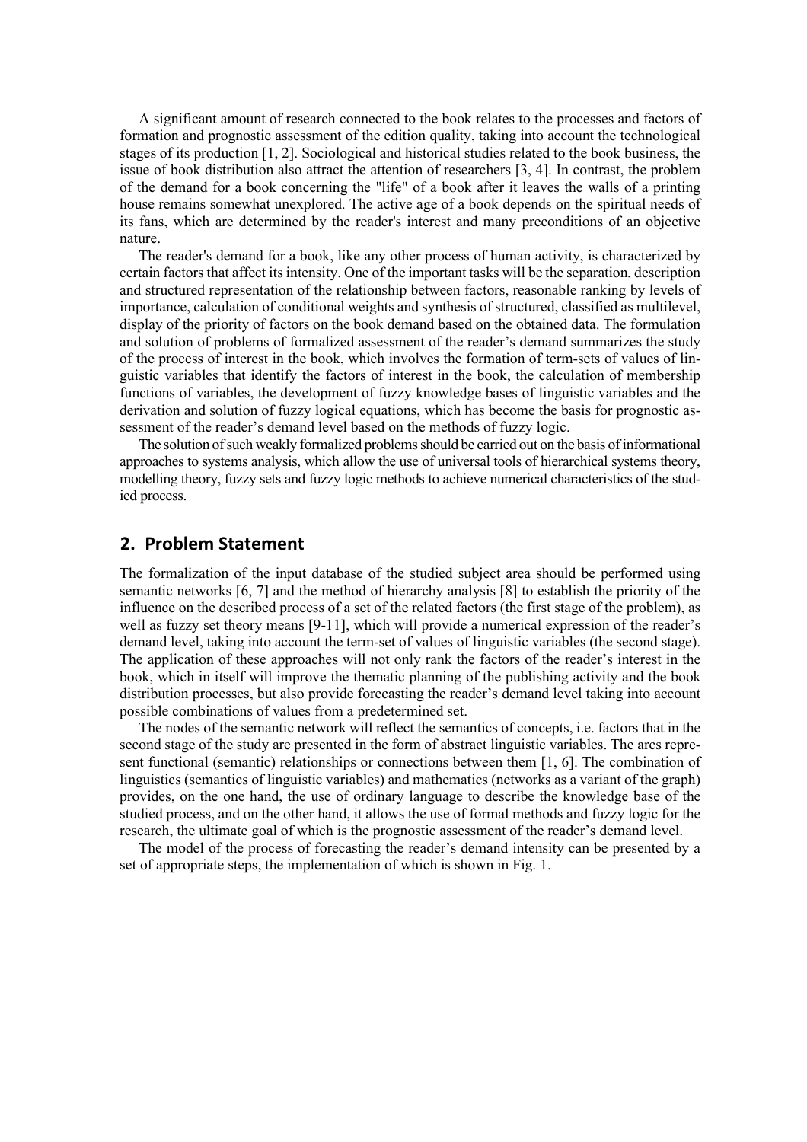A significant amount of research connected to the book relates to the processes and factors of formation and prognostic assessment of the edition quality, taking into account the technological stages of its production [1, 2]. Sociological and historical studies related to the book business, the issue of book distribution also attract the attention of researchers [3, 4]. In contrast, the problem of the demand for a book concerning the "life" of a book after it leaves the walls of a printing house remains somewhat unexplored. The active age of a book depends on the spiritual needs of its fans, which are determined by the reader's interest and many preconditions of an objective nature.

The reader's demand for a book, like any other process of human activity, is characterized by certain factors that affect its intensity. One of the important tasks will be the separation, description and structured representation of the relationship between factors, reasonable ranking by levels of importance, calculation of conditional weights and synthesis of structured, classified as multilevel, display of the priority of factors on the book demand based on the obtained data. The formulation and solution of problems of formalized assessment of the reader's demand summarizes the study of the process of interest in the book, which involves the formation of term-sets of values of linguistic variables that identify the factors of interest in the book, the calculation of membership functions of variables, the development of fuzzy knowledge bases of linguistic variables and the derivation and solution of fuzzy logical equations, which has become the basis for prognostic assessment of the reader's demand level based on the methods of fuzzy logic.

The solution of such weakly formalized problems should be carried out on the basis of informational approaches to systems analysis, which allow the use of universal tools of hierarchical systems theory, modelling theory, fuzzy sets and fuzzy logic methods to achieve numerical characteristics of the studied process.

# **2. Problem Statement**

The formalization of the input database of the studied subject area should be performed using semantic networks [6, 7] and the method of hierarchy analysis [8] to establish the priority of the influence on the described process of a set of the related factors (the first stage of the problem), as well as fuzzy set theory means [9-11], which will provide a numerical expression of the reader's demand level, taking into account the term-set of values of linguistic variables (the second stage). The application of these approaches will not only rank the factors of the reader's interest in the book, which in itself will improve the thematic planning of the publishing activity and the book distribution processes, but also provide forecasting the reader's demand level taking into account possible combinations of values from a predetermined set.

The nodes of the semantic network will reflect the semantics of concepts, i.e. factors that in the second stage of the study are presented in the form of abstract linguistic variables. The arcs represent functional (semantic) relationships or connections between them [1, 6]. The combination of linguistics (semantics of linguistic variables) and mathematics (networks as a variant of the graph) provides, on the one hand, the use of ordinary language to describe the knowledge base of the studied process, and on the other hand, it allows the use of formal methods and fuzzy logic for the research, the ultimate goal of which is the prognostic assessment of the reader's demand level.

The model of the process of forecasting the reader's demand intensity can be presented by a set of appropriate steps, the implementation of which is shown in Fig. 1.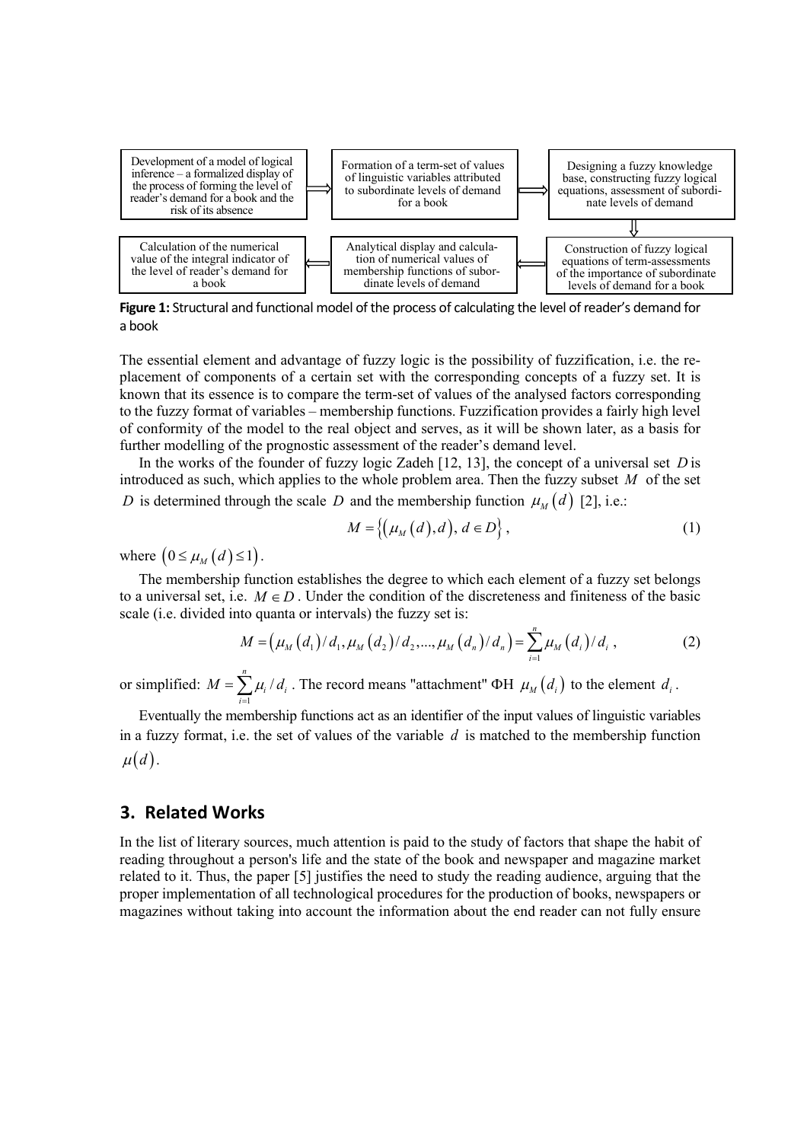

**Figure 1:** Structural and functional model of the process of calculating the level of reader's demand for a book

The essential element and advantage of fuzzy logic is the possibility of fuzzification, i.e. the replacement of components of a certain set with the corresponding concepts of a fuzzy set. It is known that its essence is to compare the term-set of values of the analysed factors corresponding to the fuzzy format of variables – membership functions. Fuzzification provides a fairly high level of conformity of the model to the real object and serves, as it will be shown later, as a basis for further modelling of the prognostic assessment of the reader's demand level.

In the works of the founder of fuzzy logic Zadeh [12, 13], the concept of a universal set *D* is introduced as such, which applies to the whole problem area. Then the fuzzy subset *M* of the set *D* is determined through the scale *D* and the membership function  $\mu_M(d)$  [2], i.e.:

$$
M = \{ (\mu_M(d), d), d \in D \},\tag{1}
$$

where  $(0 \leq \mu_M(d) \leq 1)$ .

The membership function establishes the degree to which each element of a fuzzy set belongs to a universal set, i.e.  $M \in D$ . Under the condition of the discreteness and finiteness of the basic scale (i.e. divided into quanta or intervals) the fuzzy set is:

$$
M = (\mu_M(d_1)/d_1, \mu_M(d_2)/d_2, ..., \mu_M(d_n)/d_n) = \sum_{i=1}^n \mu_M(d_i)/d_i,
$$
 (2)

or simplified:  $M = \sum_{i=1}^{n} \mu_i$  $\sum_{i=1}$  $\mu_i$   $\mu_i$  $M = \sum \mu_i / d$  $=\sum_{i=1} \mu_i / d_i$ . The record means "attachment"  $\Phi H \mu_M(d_i)$  to the element  $d_i$ .

Eventually the membership functions act as an identifier of the input values of linguistic variables in a fuzzy format, i.e. the set of values of the variable *d* is matched to the membership function  $\mu(d)$ .

### **3. Related Works**

In the list of literary sources, much attention is paid to the study of factors that shape the habit of reading throughout a person's life and the state of the book and newspaper and magazine market related to it. Thus, the paper [5] justifies the need to study the reading audience, arguing that the proper implementation of all technological procedures for the production of books, newspapers or magazines without taking into account the information about the end reader can not fully ensure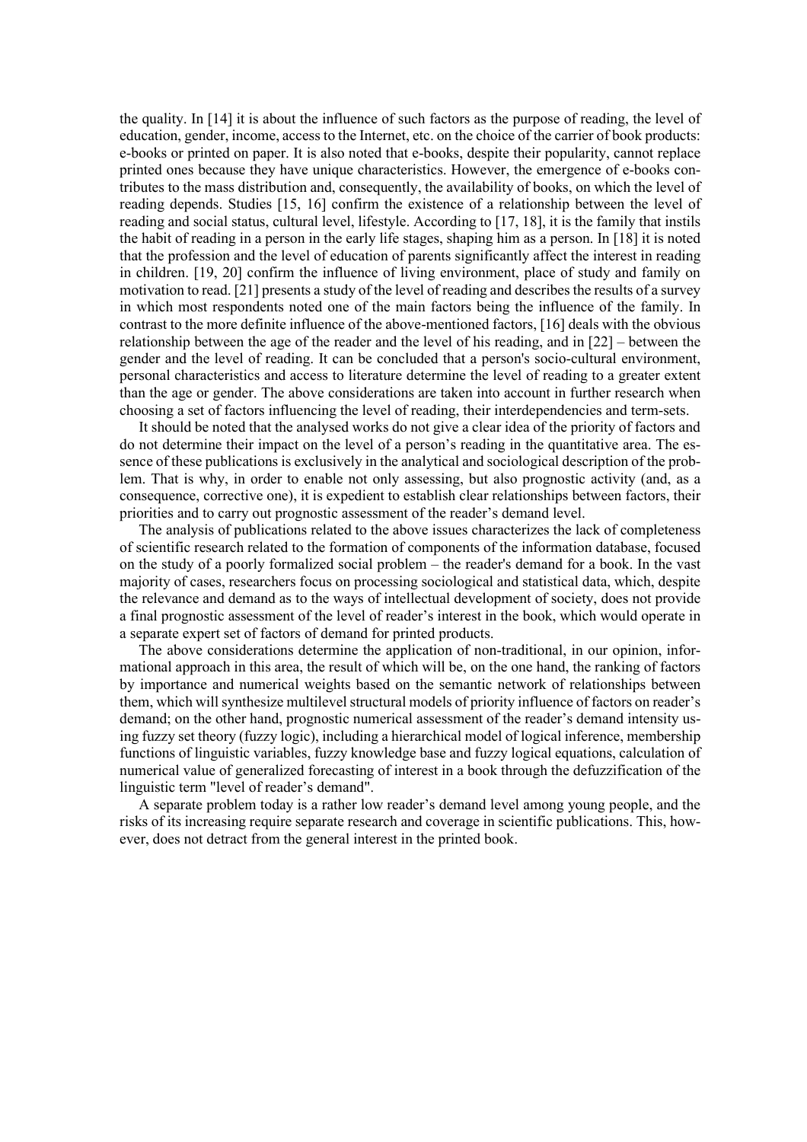the quality. In [14] it is about the influence of such factors as the purpose of reading, the level of education, gender, income, access to the Internet, etc. on the choice of the carrier of book products: e-books or printed on paper. It is also noted that e-books, despite their popularity, cannot replace printed ones because they have unique characteristics. However, the emergence of e-books contributes to the mass distribution and, consequently, the availability of books, on which the level of reading depends. Studies [15, 16] confirm the existence of a relationship between the level of reading and social status, cultural level, lifestyle. According to [17, 18], it is the family that instils the habit of reading in a person in the early life stages, shaping him as a person. In [18] it is noted that the profession and the level of education of parents significantly affect the interest in reading in children. [19, 20] confirm the influence of living environment, place of study and family on motivation to read. [21] presents a study of the level of reading and describes the results of a survey in which most respondents noted one of the main factors being the influence of the family. In contrast to the more definite influence of the above-mentioned factors, [16] deals with the obvious relationship between the age of the reader and the level of his reading, and in [22] – between the gender and the level of reading. It can be concluded that a person's socio-cultural environment, personal characteristics and access to literature determine the level of reading to a greater extent than the age or gender. The above considerations are taken into account in further research when choosing a set of factors influencing the level of reading, their interdependencies and term-sets.

It should be noted that the analysed works do not give a clear idea of the priority of factors and do not determine their impact on the level of a person's reading in the quantitative area. The essence of these publications is exclusively in the analytical and sociological description of the problem. That is why, in order to enable not only assessing, but also prognostic activity (and, as a consequence, corrective one), it is expedient to establish clear relationships between factors, their priorities and to carry out prognostic assessment of the reader's demand level.

The analysis of publications related to the above issues characterizes the lack of completeness of scientific research related to the formation of components of the information database, focused on the study of a poorly formalized social problem – the reader's demand for a book. In the vast majority of cases, researchers focus on processing sociological and statistical data, which, despite the relevance and demand as to the ways of intellectual development of society, does not provide a final prognostic assessment of the level of reader's interest in the book, which would operate in a separate expert set of factors of demand for printed products.

The above considerations determine the application of non-traditional, in our opinion, informational approach in this area, the result of which will be, on the one hand, the ranking of factors by importance and numerical weights based on the semantic network of relationships between them, which will synthesize multilevel structural models of priority influence of factors on reader's demand; on the other hand, prognostic numerical assessment of the reader's demand intensity using fuzzy set theory (fuzzy logic), including a hierarchical model of logical inference, membership functions of linguistic variables, fuzzy knowledge base and fuzzy logical equations, calculation of numerical value of generalized forecasting of interest in a book through the defuzzification of the linguistic term "level of reader's demand".

A separate problem today is a rather low reader's demand level among young people, and the risks of its increasing require separate research and coverage in scientific publications. This, however, does not detract from the general interest in the printed book.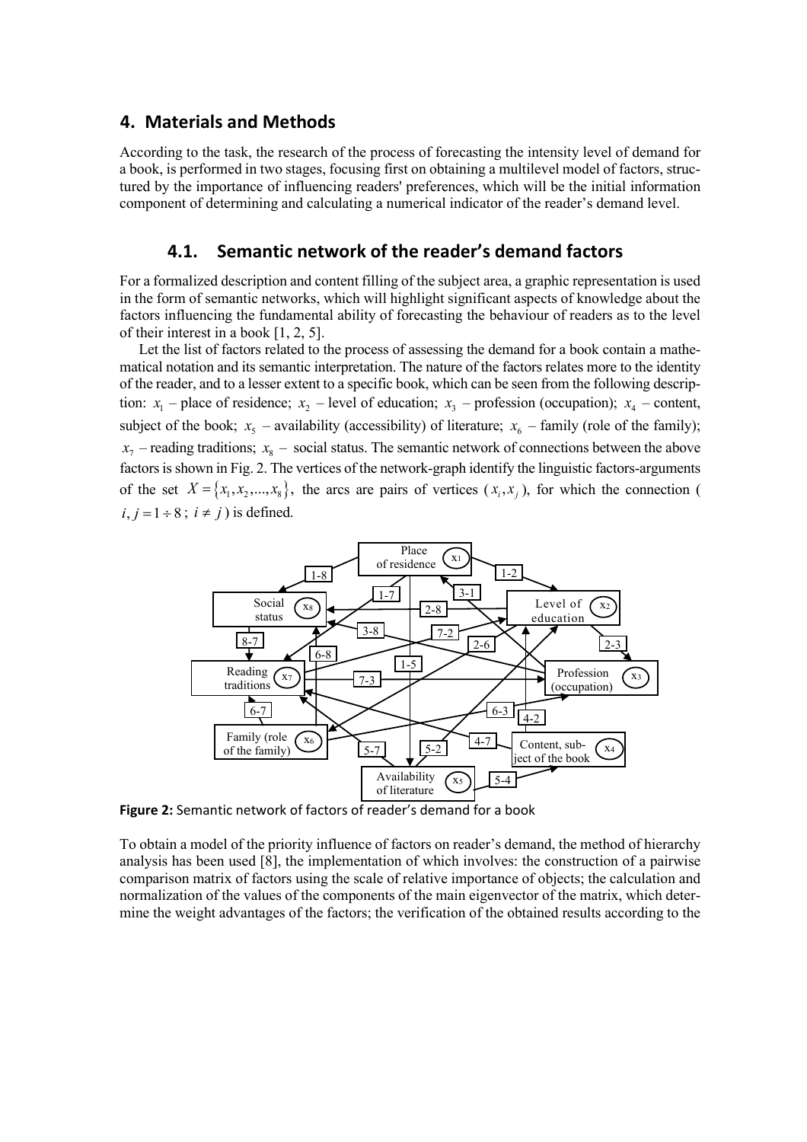### **4. Materials and Methods**

According to the task, the research of the process of forecasting the intensity level of demand for a book, is performed in two stages, focusing first on obtaining a multilevel model of factors, structured by the importance of influencing readers' preferences, which will be the initial information component of determining and calculating a numerical indicator of the reader's demand level.

# **4.1. Semantic network of the reader's demand factors**

For a formalized description and content filling of the subject area, a graphic representation is used in the form of semantic networks, which will highlight significant aspects of knowledge about the factors influencing the fundamental ability of forecasting the behaviour of readers as to the level of their interest in a book [1, 2, 5].

Let the list of factors related to the process of assessing the demand for a book contain a mathematical notation and its semantic interpretation. The nature of the factors relates more to the identity of the reader, and to a lesser extent to a specific book, which can be seen from the following description:  $x_1$  – place of residence;  $x_2$  – level of education;  $x_3$  – profession (occupation);  $x_4$  – content, subject of the book;  $x_5$  – availability (accessibility) of literature;  $x_6$  – family (role of the family);  $x_7$  – reading traditions;  $x_8$  – social status. The semantic network of connections between the above factors is shown in Fig. 2. The vertices of the network-graph identify the linguistic factors-arguments of the set  $X = \{x_1, x_2, ..., x_8\}$ , the arcs are pairs of vertices  $(x_i, x_j)$ , for which the connection (  $i, j = 1 \div 8$ ;  $i \neq j$ ) is defined.



**Figure 2:** Semantic network of factors of reader's demand for a book

To obtain a model of the priority influence of factors on reader's demand, the method of hierarchy analysis has been used [8], the implementation of which involves: the construction of a pairwise comparison matrix of factors using the scale of relative importance of objects; the calculation and normalization of the values of the components of the main eigenvector of the matrix, which determine the weight advantages of the factors; the verification of the obtained results according to the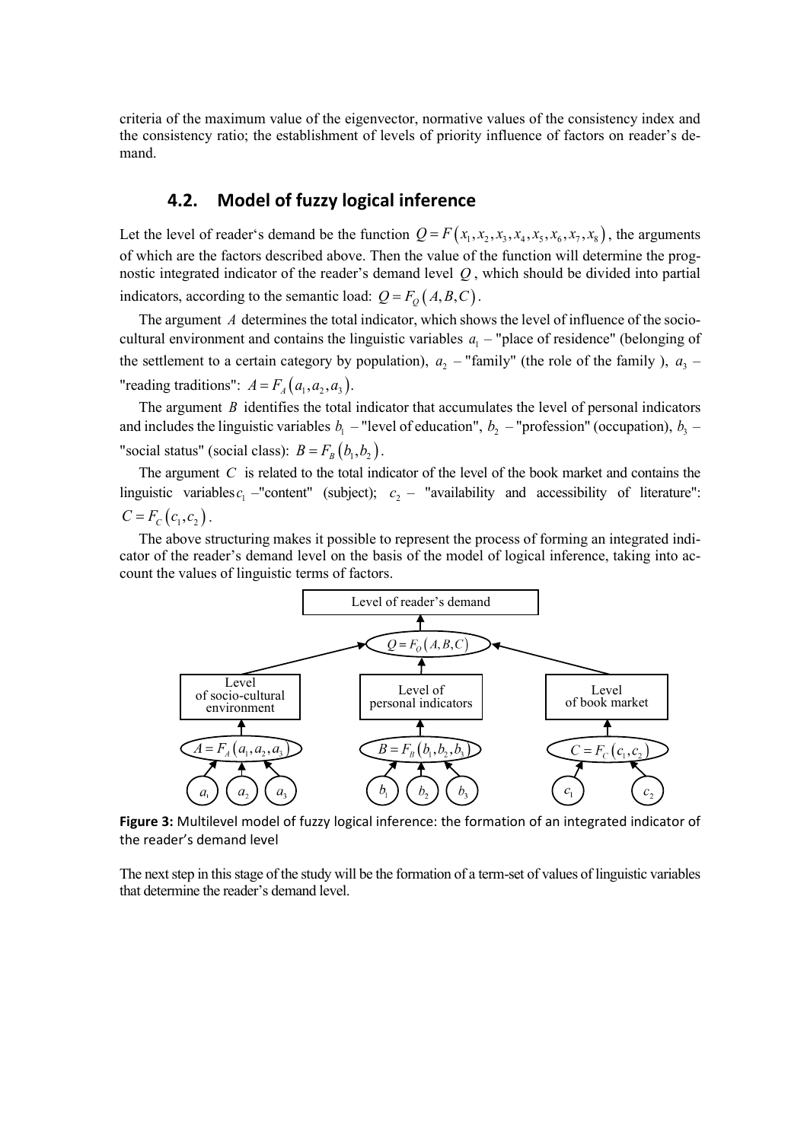criteria of the maximum value of the eigenvector, normative values of the consistency index and the consistency ratio; the establishment of levels of priority influence of factors on reader's demand.

# **4.2. Model of fuzzy logical inference**

Let the level of reader's demand be the function  $Q = F(x_1, x_2, x_3, x_4, x_5, x_6, x_7, x_8)$ , the arguments of which are the factors described above. Then the value of the function will determine the prognostic integrated indicator of the reader's demand level *Q* , which should be divided into partial indicators, according to the semantic load:  $Q = F_o(A, B, C)$ .

The argument *A* determines the total indicator, which shows the level of influence of the sociocultural environment and contains the linguistic variables  $a_1$  – "place of residence" (belonging of the settlement to a certain category by population),  $a_2$  – "family" (the role of the family ),  $a_3$  – "reading traditions":  $A = F_A(a_1, a_2, a_3)$ .

The argument *B* identifies the total indicator that accumulates the level of personal indicators and includes the linguistic variables  $b_1$  – "level of education",  $b_2$  – "profession" (occupation),  $b_3$  – "social status" (social class):  $B = F_B(b_1, b_2)$ .

The argument *C* is related to the total indicator of the level of the book market and contains the linguistic variables  $c_1$  -"content" (subject);  $c_2$  – "availability and accessibility of literature":  $C = F_C(c_1, c_2)$ .

The above structuring makes it possible to represent the process of forming an integrated indicator of the reader's demand level on the basis of the model of logical inference, taking into account the values of linguistic terms of factors.



**Figure 3:** Multilevel model of fuzzy logical inference: the formation of an integrated indicator of the reader's demand level

The next step in this stage of the study will be the formation of a term-set of values of linguistic variables that determine the reader's demand level.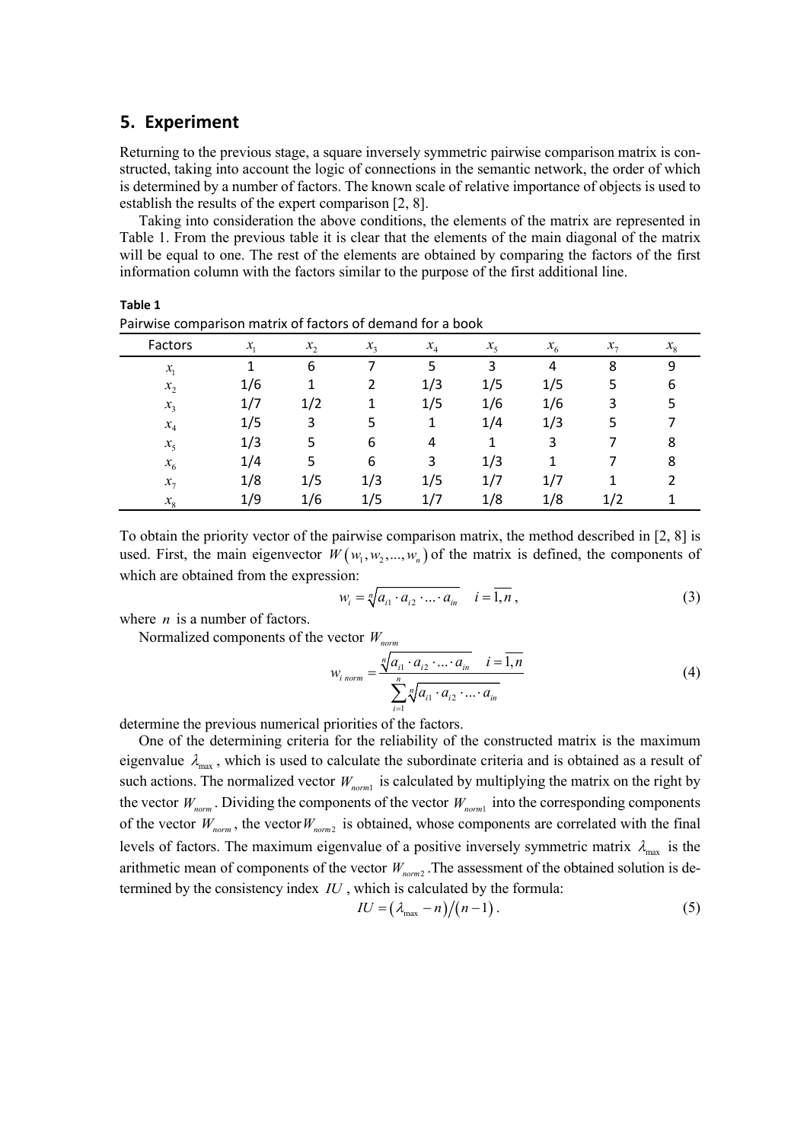# **5. Experiment**

**Table 1**

Returning to the previous stage, a square inversely symmetric pairwise comparison matrix is constructed, taking into account the logic of connections in the semantic network, the order of which is determined by a number of factors. The known scale of relative importance of objects is used to establish the results of the expert comparison [2, 8].

Taking into consideration the above conditions, the elements of the matrix are represented in Table 1. From the previous table it is clear that the elements of the main diagonal of the matrix will be equal to one. The rest of the elements are obtained by comparing the factors of the first information column with the factors similar to the purpose of the first additional line.

| r an wise companison matrix or ractors or acmana for a book |                 |         |       |       |         |         |            |         |
|-------------------------------------------------------------|-----------------|---------|-------|-------|---------|---------|------------|---------|
| Factors                                                     | $\mathcal{X}_1$ | $x_{2}$ | $x_3$ | $x_4$ | $x_{5}$ | $x_{6}$ | $x_{\tau}$ | $x_{8}$ |
| $x_{1}$                                                     |                 | 6       |       | 5     | 3       | 4       | 8          | 9       |
| $x_2$                                                       | 1/6             | 1       | 2     | 1/3   | 1/5     | 1/5     | 5          | 6       |
| $x_3$                                                       | 1/7             | 1/2     |       | 1/5   | 1/6     | 1/6     | 3          |         |
| $x_4$                                                       | 1/5             | 3       | 5     | 1     | 1/4     | 1/3     | 5          |         |
| $x_{5}$                                                     | 1/3             | 5       | 6     | 4     |         | 3       |            | 8       |
| $x_{6}$                                                     | 1/4             | 5       | 6     | 3     | 1/3     |         |            | 8       |
| $x_7$                                                       | 1/8             | 1/5     | 1/3   | 1/5   | 1/7     | 1/7     |            |         |
| $x_{8}$                                                     | 1/9             | 1/6     | 1/5   | 1/7   | 1/8     | 1/8     | 1/2        |         |

| Pairwise comparison matrix of factors of demand for a book |  |  |
|------------------------------------------------------------|--|--|
|                                                            |  |  |

To obtain the priority vector of the pairwise comparison matrix, the method described in [2, 8] is used. First, the main eigenvector  $W(w_1, w_2, ..., w_n)$  of the matrix is defined, the components of which are obtained from the expression:

$$
w_i = \sqrt[n]{a_{i1} \cdot a_{i2} \cdot \ldots \cdot a_{in}} \quad i = \overline{1, n},
$$
\n(3)

where *n* is a number of factors.

Normalized components of the vector *W<sub>norm</sub>* 

$$
w_{i\text{ norm}} = \frac{\sqrt[n]{a_{i1} \cdot a_{i2} \cdot \dots \cdot a_{in}} \quad i = \overline{1, n}}{\sum_{i=1}^{n} \sqrt[n]{a_{i1} \cdot a_{i2} \cdot \dots \cdot a_{in}}}
$$
(4)

determine the previous numerical priorities of the factors.

One of the determining criteria for the reliability of the constructed matrix is the maximum eigenvalue  $\lambda_{\text{max}}$ , which is used to calculate the subordinate criteria and is obtained as a result of such actions. The normalized vector  $W_{normal}$  is calculated by multiplying the matrix on the right by the vector  $W_{norm}$ . Dividing the components of the vector  $W_{norm1}$  into the corresponding components of the vector  $W_{norm}$ , the vector  $W_{norm2}$  is obtained, whose components are correlated with the final levels of factors. The maximum eigenvalue of a positive inversely symmetric matrix  $\lambda_{\text{max}}$  is the arithmetic mean of components of the vector  $W_{norm2}$ . The assessment of the obtained solution is determined by the consistency index *IU* , which is calculated by the formula:

$$
IU = \left(\lambda_{\max} - n\right) / \left(n - 1\right). \tag{5}
$$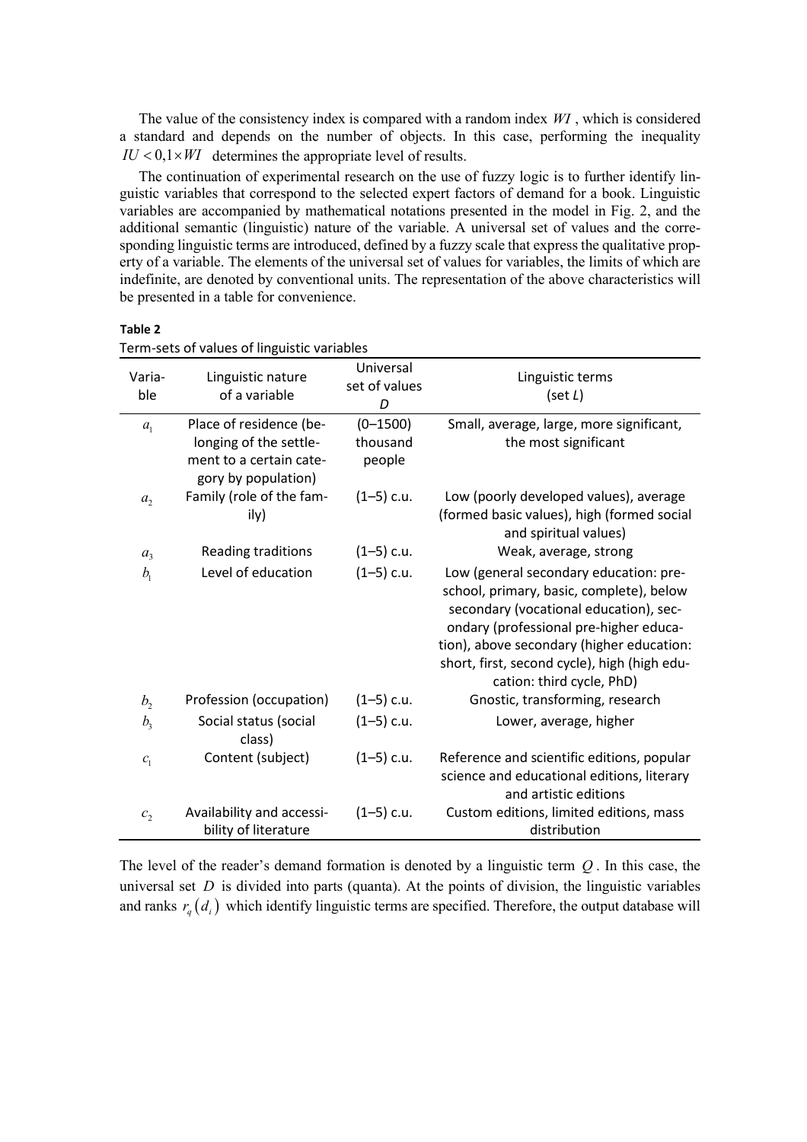The value of the consistency index is compared with a random index *WI* , which is considered a standard and depends on the number of objects. In this case, performing the inequality  $IU < 0, 1 \times WI$  determines the appropriate level of results.

The continuation of experimental research on the use of fuzzy logic is to further identify linguistic variables that correspond to the selected expert factors of demand for a book. Linguistic variables are accompanied by mathematical notations presented in the model in Fig. 2, and the additional semantic (linguistic) nature of the variable. A universal set of values and the corresponding linguistic terms are introduced, defined by a fuzzy scale that express the qualitative property of a variable. The elements of the universal set of values for variables, the limits of which are indefinite, are denoted by conventional units. The representation of the above characteristics will be presented in a table for convenience.

#### **Table 2**

| Varia-<br>ble  | Linguistic nature<br>of a variable                | Universal<br>set of values<br>D | Linguistic terms<br>(set L)                                                                                                                                                                                                                                                                      |
|----------------|---------------------------------------------------|---------------------------------|--------------------------------------------------------------------------------------------------------------------------------------------------------------------------------------------------------------------------------------------------------------------------------------------------|
| a <sub>1</sub> | Place of residence (be-                           | $(0 - 1500)$                    | Small, average, large, more significant,                                                                                                                                                                                                                                                         |
|                | longing of the settle-                            | thousand                        | the most significant                                                                                                                                                                                                                                                                             |
|                | ment to a certain cate-<br>gory by population)    | people                          |                                                                                                                                                                                                                                                                                                  |
| a <sub>2</sub> | Family (role of the fam-<br>ily)                  | $(1-5)$ c.u.                    | Low (poorly developed values), average<br>(formed basic values), high (formed social<br>and spiritual values)                                                                                                                                                                                    |
| a <sub>3</sub> | Reading traditions                                | $(1-5)$ c.u.                    | Weak, average, strong                                                                                                                                                                                                                                                                            |
| b <sub>1</sub> | Level of education                                | $(1-5)$ c.u.                    | Low (general secondary education: pre-<br>school, primary, basic, complete), below<br>secondary (vocational education), sec-<br>ondary (professional pre-higher educa-<br>tion), above secondary (higher education:<br>short, first, second cycle), high (high edu-<br>cation: third cycle, PhD) |
| b <sub>2</sub> | Profession (occupation)                           | $(1-5)$ c.u.                    | Gnostic, transforming, research                                                                                                                                                                                                                                                                  |
| b <sub>3</sub> | Social status (social<br>class)                   | $(1-5)$ c.u.                    | Lower, average, higher                                                                                                                                                                                                                                                                           |
| $c_{1}$        | Content (subject)                                 | $(1-5)$ c.u.                    | Reference and scientific editions, popular                                                                                                                                                                                                                                                       |
|                |                                                   |                                 | science and educational editions, literary                                                                                                                                                                                                                                                       |
|                |                                                   |                                 | and artistic editions                                                                                                                                                                                                                                                                            |
| c <sub>2</sub> | Availability and accessi-<br>bility of literature | $(1-5)$ c.u.                    | Custom editions, limited editions, mass<br>distribution                                                                                                                                                                                                                                          |

Term-sets of values of linguistic variables

The level of the reader's demand formation is denoted by a linguistic term *Q* . In this case, the universal set *D* is divided into parts (quanta). At the points of division, the linguistic variables and ranks  $r_q(d_i)$  which identify linguistic terms are specified. Therefore, the output database will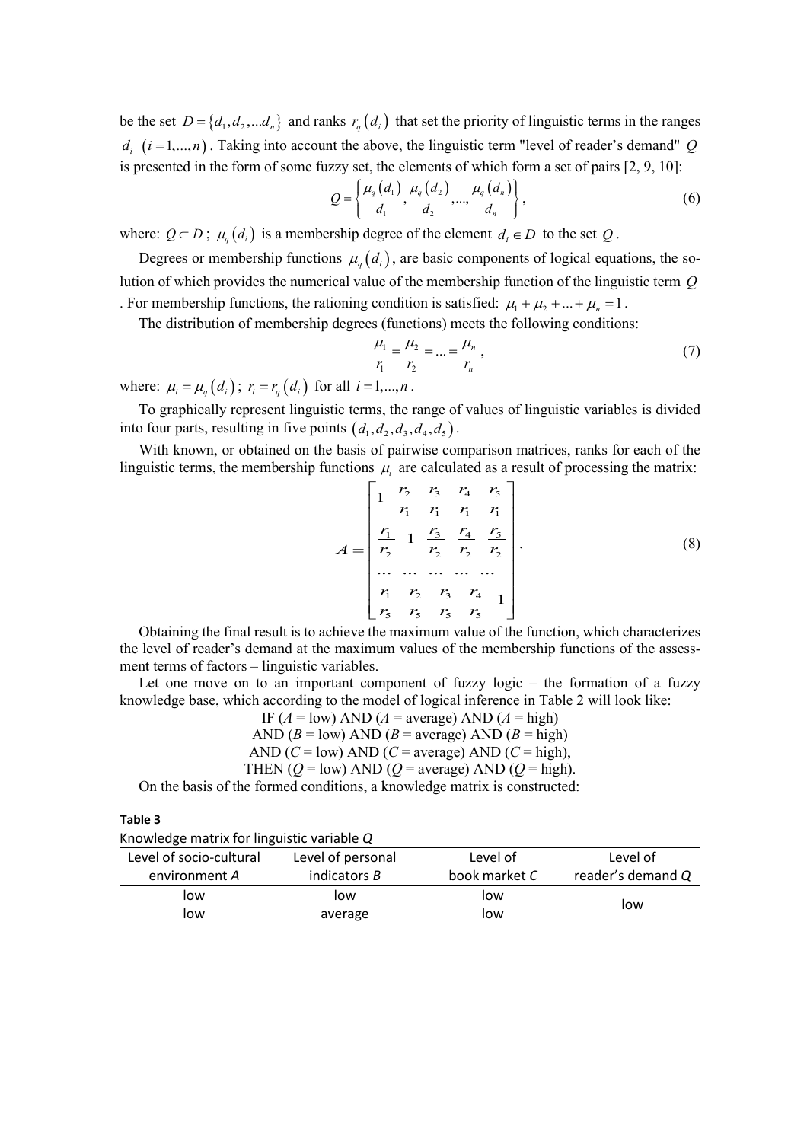be the set  $D = \{d_1, d_2, \ldots, d_n\}$  and ranks  $r_q(d_i)$  that set the priority of linguistic terms in the ranges  $d_i$   $(i = 1,...,n)$ . Taking into account the above, the linguistic term "level of reader's demand" *Q* is presented in the form of some fuzzy set, the elements of which form a set of pairs [2, 9, 10]:

$$
Q = \left\{ \frac{\mu_q(d_1)}{d_1}, \frac{\mu_q(d_2)}{d_2}, \dots, \frac{\mu_q(d_n)}{d_n} \right\},
$$
 (6)

where:  $Q \subset D$ ;  $\mu_a(d_i)$  is a membership degree of the element  $d_i \in D$  to the set  $Q$ .

Degrees or membership functions  $\mu_q(d_i)$ , are basic components of logical equations, the solution of which provides the numerical value of the membership function of the linguistic term *Q* . For membership functions, the rationing condition is satisfied:  $\mu_1 + \mu_2 + ... + \mu_n = 1$ .

The distribution of membership degrees (functions) meets the following conditions:

$$
\frac{\mu_1}{r_1} = \frac{\mu_2}{r_2} = \dots = \frac{\mu_n}{r_n},\tag{7}
$$

where:  $\mu_i = \mu_q(d_i)$ ;  $r_i = r_q(d_i)$  for all  $i = 1,...,n$ .

To graphically represent linguistic terms, the range of values of linguistic variables is divided into four parts, resulting in five points  $(d_1, d_2, d_3, d_4, d_5)$ .

With known, or obtained on the basis of pairwise comparison matrices, ranks for each of the linguistic terms, the membership functions  $\mu_i$  are calculated as a result of processing the matrix:

$$
A = \begin{bmatrix} 1 & \frac{r_2}{r_1} & \frac{r_3}{r_1} & \frac{r_4}{r_1} & \frac{r_5}{r_1} \\ \frac{r_1}{r_2} & 1 & \frac{r_3}{r_2} & \frac{r_4}{r_2} & \frac{r_5}{r_2} \\ \cdots & \cdots & \cdots & \cdots & \cdots \\ \frac{r_1}{r_5} & \frac{r_2}{r_5} & \frac{r_3}{r_5} & \frac{r_4}{r_5} & 1 \end{bmatrix} .
$$
 (8)

Obtaining the final result is to achieve the maximum value of the function, which characterizes the level of reader's demand at the maximum values of the membership functions of the assessment terms of factors – linguistic variables.

Let one move on to an important component of fuzzy logic – the formation of a fuzzy knowledge base, which according to the model of logical inference in Table 2 will look like:

> IF  $(A = low)$  AND  $(A = average)$  AND  $(A = high)$ AND  $(B = low)$  AND  $(B = average)$  AND  $(B = high)$ AND  $(C = low)$  AND  $(C = average)$  AND  $(C = high)$ , THEN  $(Q = low)$  AND  $(Q = average)$  AND  $(Q = high)$ .

On the basis of the formed conditions, a knowledge matrix is constructed:

**Table 3**

| Knowledge matrix for linguistic variable Q |  |  |  |
|--------------------------------------------|--|--|--|
|--------------------------------------------|--|--|--|

| Level of socio-cultural | Level of personal | Level of      | Level of          |
|-------------------------|-------------------|---------------|-------------------|
| environment A           | indicators B      | book market C | reader's demand Q |
| low                     | low               | low           |                   |
| low                     | average           | low           | low               |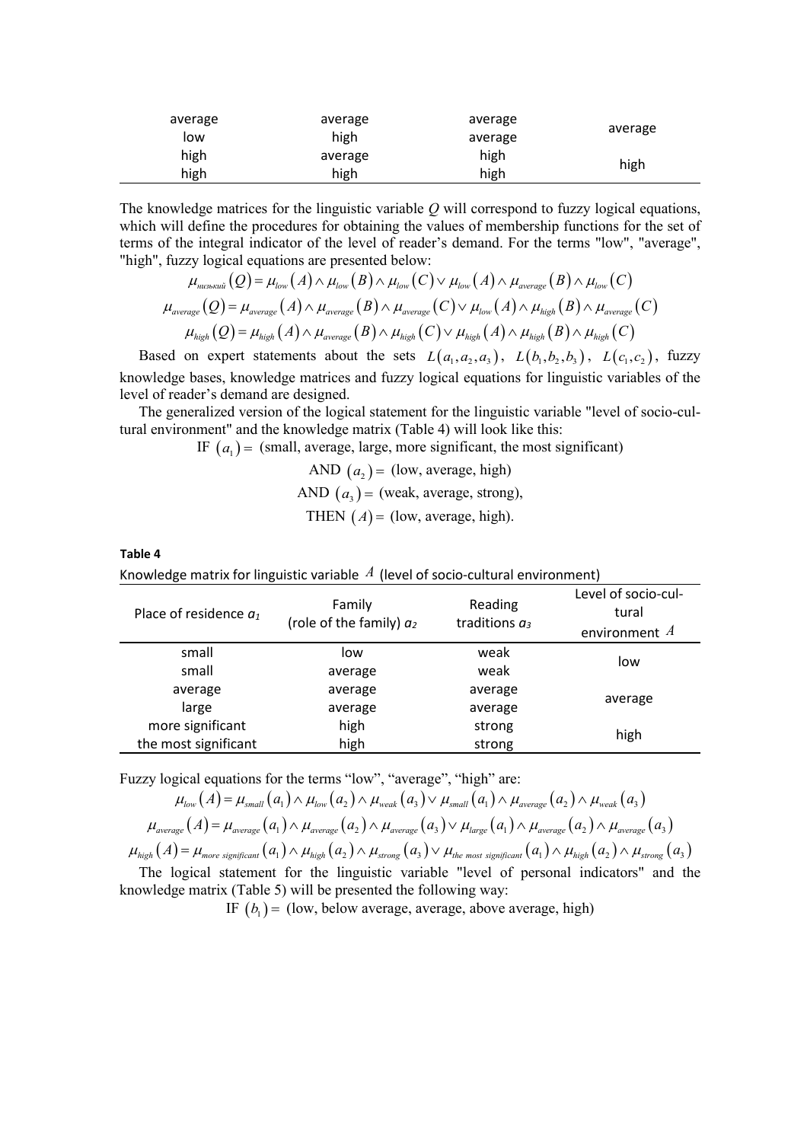| average | average | average |         |
|---------|---------|---------|---------|
| low     | high    | average | average |
| high    | average | high    |         |
| high    | high    | high    | high    |

The knowledge matrices for the linguistic variable *Q* will correspond to fuzzy logical equations, which will define the procedures for obtaining the values of membership functions for the set of terms of the integral indicator of the level of reader's demand. For the terms "low", "average", "high", fuzzy logical equations are presented below:

$$
\mu_{\text{musskuni}}(Q) = \mu_{\text{low}}(A) \wedge \mu_{\text{low}}(B) \wedge \mu_{\text{low}}(C) \vee \mu_{\text{low}}(A) \wedge \mu_{\text{average}}(B) \wedge \mu_{\text{low}}(C)
$$
\n
$$
\mu_{\text{average}}(Q) = \mu_{\text{average}}(A) \wedge \mu_{\text{average}}(B) \wedge \mu_{\text{average}}(C) \vee \mu_{\text{low}}(A) \wedge \mu_{\text{high}}(B) \wedge \mu_{\text{average}}(C)
$$
\n
$$
\mu_{\text{high}}(Q) = \mu_{\text{high}}(A) \wedge \mu_{\text{average}}(B) \wedge \mu_{\text{high}}(C) \vee \mu_{\text{high}}(A) \wedge \mu_{\text{high}}(B) \wedge \mu_{\text{high}}(C)
$$

Based on expert statements about the sets  $L(a_1, a_2, a_3)$ ,  $L(b_1, b_2, b_3)$ ,  $L(c_1, c_2)$ , fuzzy knowledge bases, knowledge matrices and fuzzy logical equations for linguistic variables of the level of reader's demand are designed.

The generalized version of the logical statement for the linguistic variable "level of socio-cultural environment" and the knowledge matrix (Table 4) will look like this:

IF  $(a_1)$  = (small, average, large, more significant, the most significant)

AND 
$$
(a_2)
$$
 = (low, average, high)  
AND  $(a_3)$  = (weak, average, strong),  
THEN  $(A)$  = (low, average, high).

**Table 4**

Knowledge matrix for linguistic variable  $A$  (level of socio-cultural environment)

| Place of residence $a_1$ | Family<br>(role of the family) $a_2$ | Reading<br>traditions $a_3$ | Level of socio-cul-<br>tural<br>environment $A$ |  |
|--------------------------|--------------------------------------|-----------------------------|-------------------------------------------------|--|
| small                    | low                                  | weak                        | low                                             |  |
| small                    | average                              | weak                        |                                                 |  |
| average                  | average                              | average                     | average                                         |  |
| large                    | average                              | average                     |                                                 |  |
| more significant         | high                                 | strong                      | high                                            |  |
| the most significant     | high                                 | strong                      |                                                 |  |

Fuzzy logical equations for the terms "low", "average", "high" are:

$$
\mu_{low}(A) = \mu_{small}(a_1) \wedge \mu_{low}(a_2) \wedge \mu_{weak}(a_3) \vee \mu_{small}(a_1) \wedge \mu_{average}(a_2) \wedge \mu_{weak}(a_3)
$$
\n
$$
\mu_{average}(A) = \mu_{average}(a_1) \wedge \mu_{average}(a_2) \wedge \mu_{average}(a_3) \vee \mu_{large}(a_1) \wedge \mu_{average}(a_2) \wedge \mu_{average}(a_3)
$$
\n
$$
\mu_{high}(A) = \mu_{more\ significant}(a_1) \wedge \mu_{high}(a_2) \wedge \mu_{strong}(a_3) \vee \mu_{the\ most\ significant}(a_1) \wedge \mu_{high}(a_2) \wedge \mu_{strong}(a_3)
$$

The logical statement for the linguistic variable "level of personal indicators" and the knowledge matrix (Table 5) will be presented the following way:

IF  $(b_1)$  = (low, below average, average, above average, high)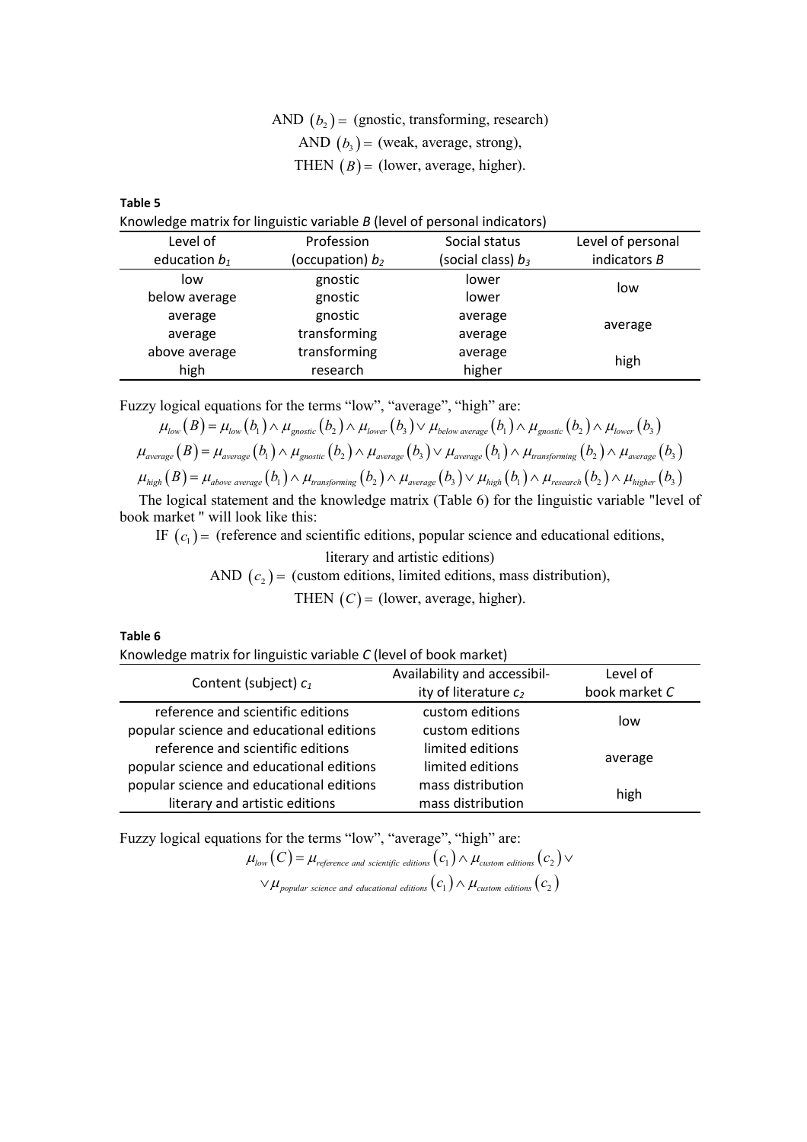AND  $(b_2)$  = (gnostic, transforming, research) AND  $(b_3)$  = (weak, average, strong), THEN  $(B)$  = (lower, average, higher).

**Table 5**

Knowledge matrix for linguistic variable *B* (level of personal indicators)

| Level of        | Profession         | Social status        | Level of personal |
|-----------------|--------------------|----------------------|-------------------|
| education $b_1$ | (occupation) $b_2$ | (social class) $b_3$ | indicators $B$    |
| low             | gnostic            | lower                | low               |
| below average   | gnostic            | lower                |                   |
| average         | gnostic            | average              |                   |
| average         | transforming       | average              | average           |
| above average   | transforming       | average              | high              |
| high            | research           | higher               |                   |

Fuzzy logical equations for the terms "low", "average", "high" are:

$$
\mu_{low}(B) = \mu_{low}(b_1) \wedge \mu_{gnostic}(b_2) \wedge \mu_{lower}(b_3) \vee \mu_{below\ average}(b_1) \wedge \mu_{gnostic}(b_2) \wedge \mu_{lower}(b_3)
$$
\n
$$
\mu_{average}(B) = \mu_{average}(b_1) \wedge \mu_{gnostic}(b_2) \wedge \mu_{average}(b_3) \vee \mu_{average}(b_1) \wedge \mu_{transforming}(b_2) \wedge \mu_{average}(b_3)
$$
\n
$$
\mu_{high}(B) = \mu_{above\ average}(b_1) \wedge \mu_{transforming}(b_2) \wedge \mu_{average}(b_3) \vee \mu_{high}(b_1) \wedge \mu_{reseach}(b_2) \wedge \mu_{higher}(b_3)
$$

The logical statement and the knowledge matrix (Table 6) for the linguistic variable "level of book market " will look like this:

IF  $(c_1)$  = (reference and scientific editions, popular science and educational editions,

literary and artistic editions) AND  $(c_2)$  = (custom editions, limited editions, mass distribution), THEN  $(C)$  = (lower, average, higher).

**Table 6**

Knowledge matrix for linguistic variable *C* (level of book market)

|                                          | Availability and accessibil- | Level of      |
|------------------------------------------|------------------------------|---------------|
| Content (subject) $c_1$                  | ity of literature $c_2$      | book market C |
| reference and scientific editions        | custom editions              |               |
| popular science and educational editions | custom editions              | low           |
| reference and scientific editions        | limited editions             |               |
| popular science and educational editions | limited editions             | average       |
| popular science and educational editions | mass distribution            |               |
| literary and artistic editions           | mass distribution            | high          |

Fuzzy logical equations for the terms "low", "average", "high" are:

 $\mu_{\scriptscriptstyle low}(C)$  =  $\mu_{\scriptscriptstyle reference \; and \; scientific \; editions}(c_{\scriptscriptstyle 1})$   $\wedge$   $\mu_{\scriptscriptstyle custom \; editions}(c_{\scriptscriptstyle 2})$   $\vee$  $\lor\mu_{\small{populations}}\left(c_{_{2}}\right)$  ( $c_{_{1}}$ )  $\land\mu_{\small{custom~editions}}\left(c_{_{2}}\right)$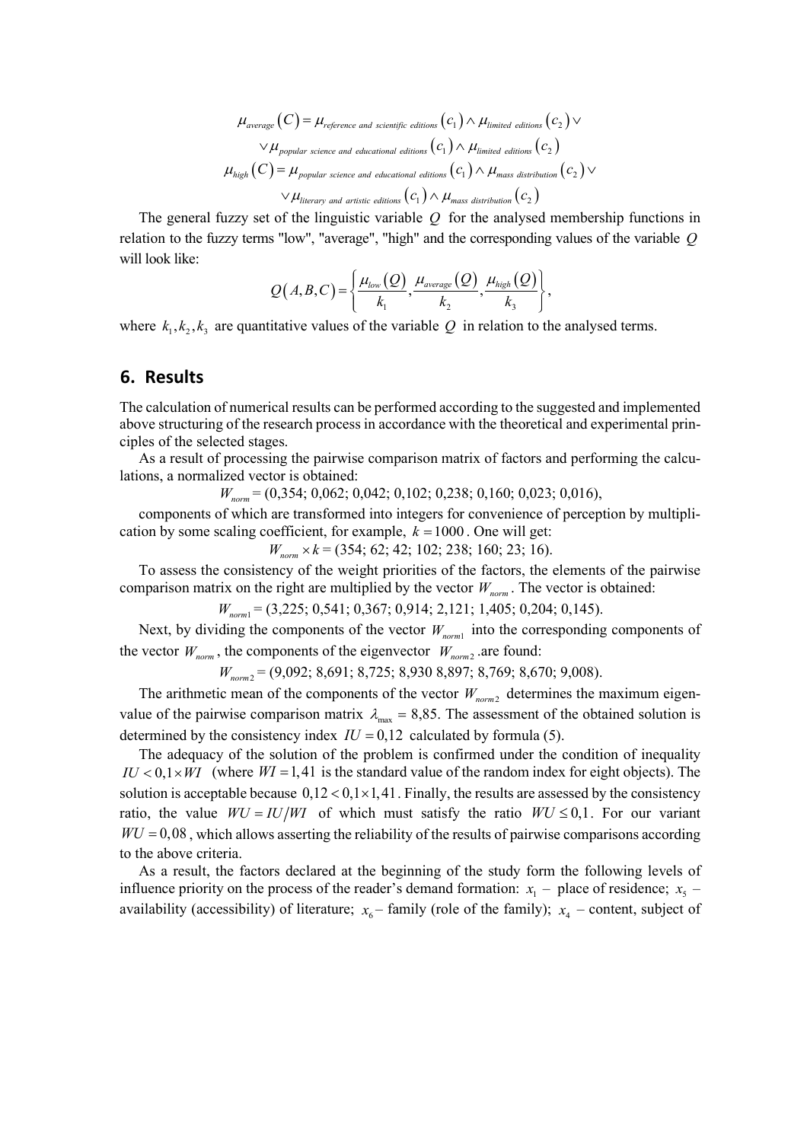$$
\mu_{average}(C) = \mu_{reference \text{ and scientific editions}}(c_1) \wedge \mu_{limited \text{ editions}}(c_2) \vee
$$
\n
$$
\vee \mu_{popular \text{ science and educational editions}}(c_1) \wedge \mu_{limited \text{ editions}}(c_2)
$$
\n
$$
\mu_{high}(C) = \mu_{popular \text{ science and educational editions}}(c_1) \wedge \mu_{mass \text{ distribution}}(c_2) \vee
$$
\n
$$
\vee \mu_{literary \text{ and artistic editions}}(c_1) \wedge \mu_{mass \text{ distribution}}(c_2)
$$

The general fuzzy set of the linguistic variable *Q* for the analysed membership functions in relation to the fuzzy terms "low", "average", "high" and the corresponding values of the variable *Q* will look like:

$$
Q(A,B,C) = \left\{ \frac{\mu_{low}(Q)}{k_1}, \frac{\mu_{average}(Q)}{k_2}, \frac{\mu_{high}(Q)}{k_3} \right\},\,
$$

where  $k_1, k_2, k_3$  are quantitative values of the variable  $Q$  in relation to the analysed terms.

### **6. Results**

The calculation of numerical results can be performed according to the suggested and implemented above structuring of the research process in accordance with the theoretical and experimental principles of the selected stages.

As a result of processing the pairwise comparison matrix of factors and performing the calculations, a normalized vector is obtained:

*W<sub>norm</sub>* = (0,354; 0,062; 0,042; 0,102; 0,238; 0,160; 0,023; 0,016),

components of which are transformed into integers for convenience of perception by multiplication by some scaling coefficient, for example,  $k = 1000$ . One will get:

*W*<sub>norm</sub> × *k* = (354; 62; 42; 102; 238; 160; 23; 16).

To assess the consistency of the weight priorities of the factors, the elements of the pairwise comparison matrix on the right are multiplied by the vector  $W_{norm}$ . The vector is obtained:

*W<sub>norm1</sub>* = (3,225; 0,541; 0,367; 0,914; 2,121; 1,405; 0,204; 0,145).

Next, by dividing the components of the vector  $W_{norm1}$  into the corresponding components of the vector  $W_{norm}$ , the components of the eigenvector  $W_{norm2}$  are found:

*Wnorm*<sup>2</sup> = (9,092; 8,691; 8,725; 8,930 8,897; 8,769; 8,670; 9,008).

The arithmetic mean of the components of the vector  $W_{norm2}$  determines the maximum eigenvalue of the pairwise comparison matrix  $\lambda_{\text{max}} = 8.85$ . The assessment of the obtained solution is determined by the consistency index  $IU = 0,12$  calculated by formula (5).

The adequacy of the solution of the problem is confirmed under the condition of inequality  $IU < 0, 1 \times WI$  (where  $WI = 1, 41$  is the standard value of the random index for eight objects). The solution is acceptable because  $0,12 < 0,1 \times 1,41$ . Finally, the results are assessed by the consistency ratio, the value  $WU = I U/WI$  of which must satisfy the ratio  $WU \le 0,1$ . For our variant  $WU = 0.08$ , which allows asserting the reliability of the results of pairwise comparisons according to the above criteria.

As a result, the factors declared at the beginning of the study form the following levels of influence priority on the process of the reader's demand formation:  $x_1$  – place of residence;  $x_5$  – availability (accessibility) of literature;  $x_6$  – family (role of the family);  $x_4$  – content, subject of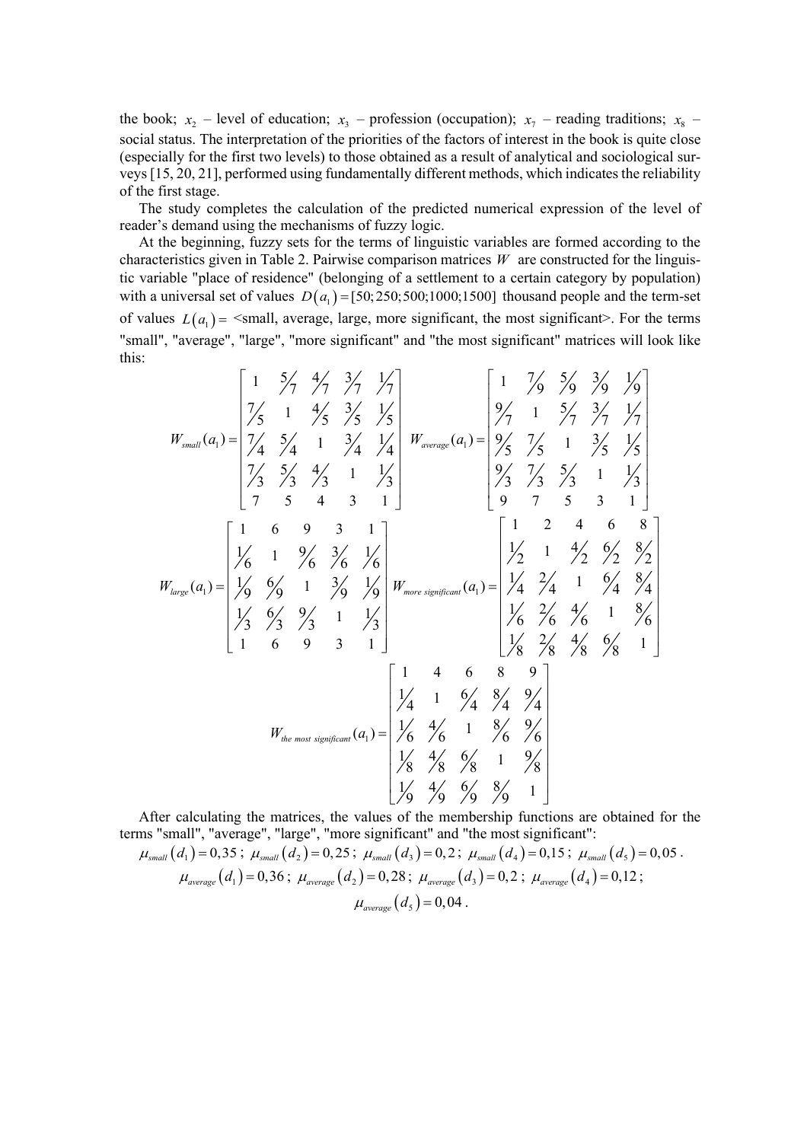the book;  $x_2$  – level of education;  $x_3$  – profession (occupation);  $x_7$  – reading traditions;  $x_8$  – social status. The interpretation of the priorities of the factors of interest in the book is quite close (especially for the first two levels) to those obtained as a result of analytical and sociological surveys [15, 20, 21], performed using fundamentally different methods, which indicates the reliability of the first stage.

The study completes the calculation of the predicted numerical expression of the level of reader's demand using the mechanisms of fuzzy logic.

At the beginning, fuzzy sets for the terms of linguistic variables are formed according to the characteristics given in Table 2. Pairwise comparison matrices *W* are constructed for the linguistic variable "place of residence" (belonging of a settlement to a certain category by population) with a universal set of values  $D(a_1) = [50; 250; 500; 1000; 1500]$  thousand people and the term-set of values  $L(a_i)$  =  $\le$ small, average, large, more significant, the most significant>. For the terms "small", "average", "large", "more significant" and "the most significant" matrices will look like this:

$$
W_{small}(a_{1}) = \begin{bmatrix} 1 & 5/4 & 7/4 & 7/4 \\ 7/5 & 1 & 4/5 & 7/5 \\ 7/4 & 1 & 3/4 & 7/4 \\ 7/4 & 1 & 3/4 & 7/4 \\ 7/3 & 5/4 & 1 & 7/3 \\ 7 & 5 & 4 & 3 & 1 \end{bmatrix} \quad W_{average}(a_{1}) = \begin{bmatrix} 1 & 7/9 & 5/9 & 3/9 & 1/9 \\ 9/7 & 1 & 5/7 & 3/7 & 1/7 \\ 9/5 & 7/5 & 1 & 3/5 & 1/5 \\ 9/3 & 7/3 & 5/3 & 1 & 1/3 \\ 9 & 7 & 5 & 3 & 1 \end{bmatrix}
$$
  
\n
$$
W_{large}(a_{1}) = \begin{bmatrix} 1 & 6 & 9 & 3 & 1 \\ 1/6 & 1 & 9/6 & 3/6 & 1/6 \\ 1/9 & 9 & 1 & 3/9 & 1/9 \\ 1/3 & 9/3 & 1 & 1/3 \\ 1 & 6 & 9 & 3 & 1 \end{bmatrix} W_{more significant}(a_{1}) = \begin{bmatrix} 1 & 2 & 4 & 6 & 8 \\ 1/2 & 1 & 4/2 & 9/2 & 8/2 \\ 1/4 & 2/4 & 1 & 9/4 & 8/4 \\ 1/4 & 2/4 & 1 & 9/4 & 8/4 \\ 1/4 & 2/4 & 1 & 8/6 & 1 \\ 8/4 & 8/4 & 9/4 & 1 \end{bmatrix}
$$
  
\n
$$
W_{the most significant}(a_{1}) = \begin{bmatrix} 1 & 4 & 6 & 8 & 9 \\ 1/4 & 1 & 6/4 & 8/4 & 9/4 \\ 1/4 & 1 & 8/4 & 8/4 & 9/4 \\ 1/8 & 4/8 & 9/8 & 1 & 9/8 \\ 1/8 & 4/8 & 9/8 & 1 & 9/8 \\ 1/9 & 9/9 & 9/9 & 1 \end{bmatrix}
$$

After calculating the matrices, the values of the membership functions are obtained for the terms "small", "average", "large", "more significant" and "the most significant":

$$
\mu_{small}(d_{1}) = 0,35; \mu_{small}(d_{2}) = 0,25; \mu_{small}(d_{3}) = 0,2; \mu_{small}(d_{4}) = 0,15; \mu_{small}(d_{5}) = 0,05.
$$

$$
\mu_{average}(d_{1}) = 0,36; \mu_{average}(d_{2}) = 0,28; \mu_{average}(d_{3}) = 0,2; \mu_{average}(d_{4}) = 0,12;
$$

$$
\mu_{average}(d_{5}) = 0,04.
$$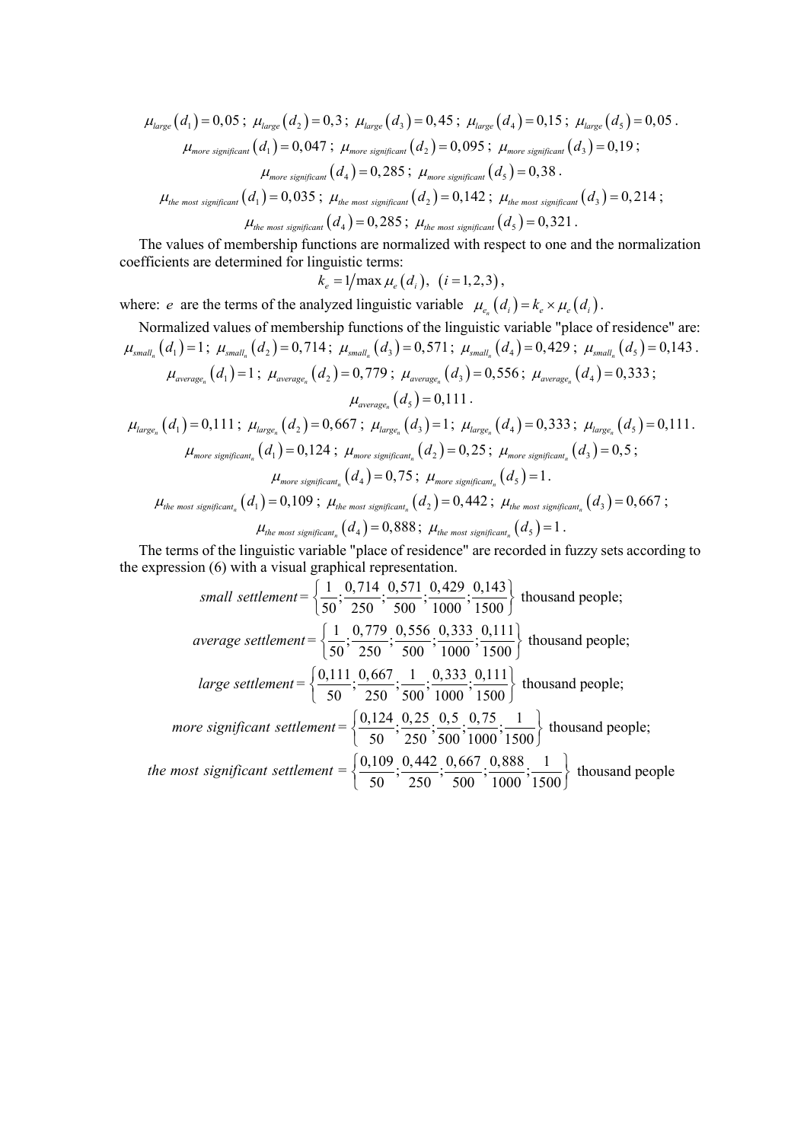$$
\mu_{large}(d_1) = 0,05; \mu_{large}(d_2) = 0,3; \mu_{large}(d_3) = 0,45; \mu_{large}(d_4) = 0,15; \mu_{large}(d_5) = 0,05.
$$
  
\n
$$
\mu_{more \text{ significant}}(d_1) = 0,047; \mu_{more \text{ significant}}(d_2) = 0,095; \mu_{more \text{ significant}}(d_3) = 0,19;
$$
  
\n
$$
\mu_{more \text{ significant}}(d_4) = 0,285; \mu_{more \text{ significant}}(d_5) = 0,38.
$$
  
\n
$$
\mu_{the \text{ most significant}}(d_1) = 0,035; \mu_{the \text{ most significant}}(d_2) = 0,142; \mu_{the \text{ most significant}}(d_3) = 0,214;
$$
  
\n
$$
\mu_{the \text{ most significant}}(d_4) = 0,285; \mu_{the \text{ most significant}}(d_5) = 0,321.
$$

The values of membership functions are normalized with respect to one and the normalization coefficients are determined for linguistic terms:

$$
k_e = 1/\max \mu_e(d_i), (i = 1, 2, 3),
$$

where: *e* are the terms of the analyzed linguistic variable  $\mu_{e_n}(d_i) = k_e \times \mu_e(d_i)$ .

Normalized values of membership functions of the linguistic variable "place of residence" are:

\n
$$
\mu_{small_n}(d_1) = 1; \mu_{small_n}(d_2) = 0,714; \mu_{small_n}(d_3) = 0,571; \mu_{small_n}(d_4) = 0,429; \mu_{small_n}(d_5) = 0,143.
$$
\n
$$
\mu_{average_n}(d_1) = 1; \mu_{average_n}(d_2) = 0,779; \mu_{average_n}(d_3) = 0,556; \mu_{average_n}(d_4) = 0,333;
$$
\n
$$
\mu_{average_n}(d_5) = 0,111.
$$
\n
$$
\mu_{large_n}(d_1) = 0,111; \mu_{large_n}(d_2) = 0,667; \mu_{large_n}(d_3) = 1; \mu_{large_n}(d_4) = 0,333; \mu_{large_n}(d_5) = 0,111.
$$
\n
$$
\mu_{more significant_n}(d_1) = 0,124; \mu_{more significant_n}(d_2) = 0,25; \mu_{more significant_n}(d_3) = 0,5;
$$
\n
$$
\mu_{more significant_n}(d_4) = 0,75; \mu_{more significant_n}(d_5) = 1.
$$
\n
$$
\mu_{the most significant_n}(d_1) = 0,109; \mu_{the most significant_n}(d_2) = 0,442; \mu_{the most significant_n}(d_3) = 0,667;
$$
\n
$$
\mu_{the most significant_n}(d_4) = 0,888; \mu_{the most significant_n}(d_5) = 1.
$$

The terms of the linguistic variable "place of residence" are recorded in fuzzy sets according to the expression (6) with a visual graphical representation.

small settlement = 
$$
\left\{ \frac{1}{50}, \frac{0,714}{250}; \frac{0,571}{500}; \frac{0,429}{1000}; \frac{0,143}{1500} \right\}
$$
 thousand people;  
\naverage settlement =  $\left\{ \frac{1}{50}, \frac{0,779}{250}; \frac{0,556}{500}; \frac{0,333}{1000}; \frac{0,111}{1500} \right\}$  thousand people;  
\nlarge settlement =  $\left\{ \frac{0,111}{50}; \frac{0,667}{250}; \frac{1}{500}; \frac{0,333}{1000}; \frac{0,111}{1500} \right\}$  thousand people;  
\nmore significant settlement =  $\left\{ \frac{0,124}{50}; \frac{0,25}{250}; \frac{0,5}{500}; \frac{0,75}{1000}; \frac{1}{1500} \right\}$  thousand people;  
\nthe most significant settlement =  $\left\{ \frac{0,109}{50}; \frac{0,442}{250}; \frac{0,667}{500}; \frac{0,888}{1000}; \frac{1}{1500} \right\}$  thousand people;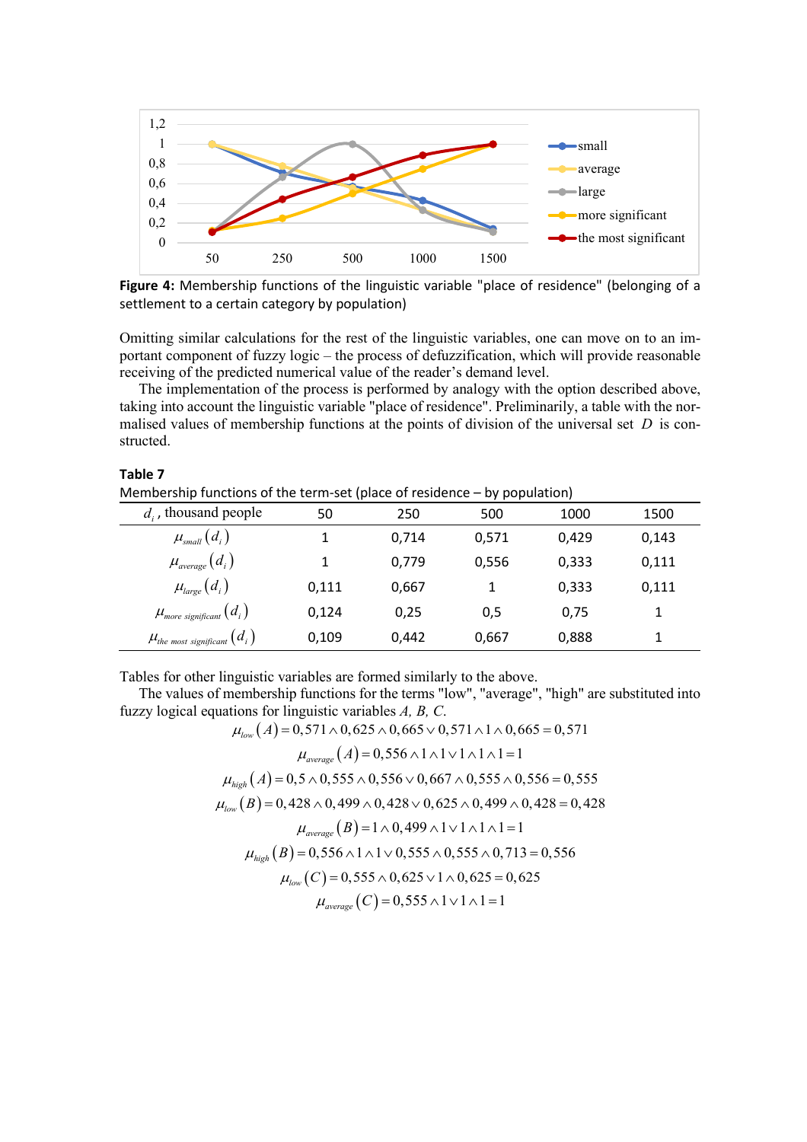

**Figure 4:** Membership functions of the linguistic variable "place of residence" (belonging of a settlement to a certain category by population)

Omitting similar calculations for the rest of the linguistic variables, one can move on to an important component of fuzzy logic – the process of defuzzification, which will provide reasonable receiving of the predicted numerical value of the reader's demand level.

The implementation of the process is performed by analogy with the option described above, taking into account the linguistic variable "place of residence". Preliminarily, a table with the normalised values of membership functions at the points of division of the universal set *D* is constructed.

| Membership functions of the term-set (place of residence – by population) |       |       |       |       |       |
|---------------------------------------------------------------------------|-------|-------|-------|-------|-------|
| $d_i$ , thousand people                                                   | 50    | 250   | 500   | 1000  | 1500  |
| $\mu_{_{small}}(d_{_{i}})$                                                |       | 0.714 | 0,571 | 0,429 | 0,143 |
| $\mu_{\scriptstyle average}(d_{\scriptscriptstyle i})$                    | 1     | 0.779 | 0,556 | 0,333 | 0,111 |
| $\mu_{large}(d_i)$                                                        | 0,111 | 0,667 |       | 0,333 | 0,111 |
| $\mu_{\scriptscriptstyle more\ significant}^{} \left(d_i\right)$          | 0,124 | 0,25  | 0,5   | 0,75  |       |
| $\mu_{\scriptscriptstyle{the\ most\ significant}}(d_i)$                   | 0,109 | 0.442 | 0,667 | 0,888 |       |

Tables for other linguistic variables are formed similarly to the above.

**Table 7**

The values of membership functions for the terms "low", "average", "high" are substituted into fuzzy logical equations for linguistic variables *A, B, C*.

$$
\mu_{low}(A) = 0,571 \land 0,625 \land 0,665 \lor 0,571 \land 1 \land 0,665 = 0,571
$$
\n
$$
\mu_{average}(A) = 0,556 \land 1 \land 1 \lor 1 \land 1 \land 1 = 1
$$
\n
$$
\mu_{high}(A) = 0,5 \land 0,555 \land 0,556 \lor 0,667 \land 0,555 \land 0,556 = 0,555
$$
\n
$$
\mu_{low}(B) = 0,428 \land 0,499 \land 0,428 \lor 0,625 \land 0,499 \land 0,428 = 0,428
$$
\n
$$
\mu_{average}(B) = 1 \land 0,499 \land 1 \lor 1 \land 1 \land 1 = 1
$$
\n
$$
\mu_{high}(B) = 0,556 \land 1 \land 1 \lor 0,555 \land 0,555 \land 0,713 = 0,556
$$
\n
$$
\mu_{low}(C) = 0,555 \land 0,625 \lor 1 \land 0,625 = 0,625
$$
\n
$$
\mu_{average}(C) = 0,555 \land 1 \lor 1 \land 1 = 1
$$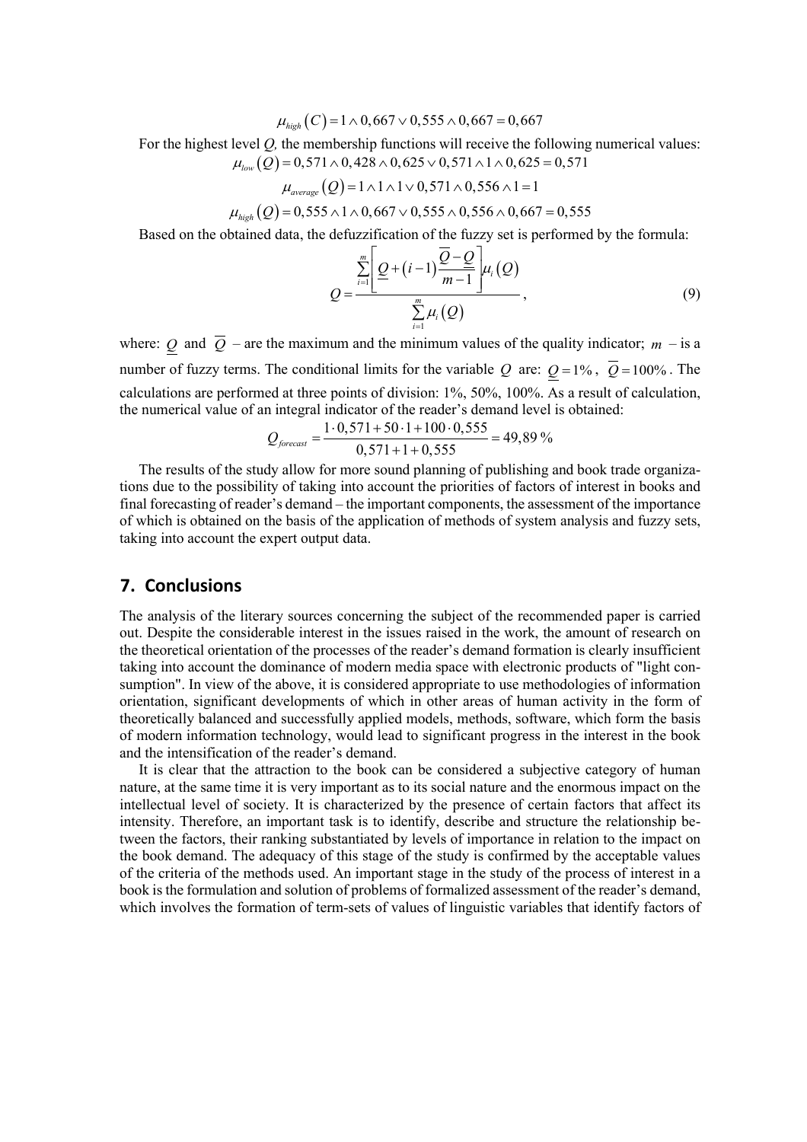$\mu_{\text{high}}( C ) = 1 \wedge 0,667 \vee 0,555 \wedge 0,667 = 0,667$ 

For the highest level *Q,* the membership functions will receive the following numerical values:

$$
\mu_{low}(Q) = 0.571 \land 0.428 \land 0.625 \lor 0.571 \land 1 \land 0.625 = 0.571
$$

$$
\mu_{\text{average}}(Q) = 1 \land 1 \land 1 \lor 0,571 \land 0,556 \land 1 = 1
$$

 $\mu_{high}( Q ) = 0,555 \land 1 \land 0,667 \lor 0,555 \land 0,556 \land 0,667 = 0,555$ 

Based on the obtained data, the defuzzification of the fuzzy set is performed by the formula:

$$
Q = \frac{\sum_{i=1}^{m} \left[ \frac{Q + (i-1) \frac{Q - Q}{m-1}}{m-1} \mu_i(Q)}{\sum_{i=1}^{m} \mu_i(Q)},
$$
\n(9)

where: *Q* and  $\overline{Q}$  – are the maximum and the minimum values of the quality indicator; *m* – is a number of fuzzy terms. The conditional limits for the variable *Q* are:  $Q = 1\%$ ,  $\overline{Q} = 100\%$ . The calculations are performed at three points of division: 1%, 50%, 100%. As a result of calculation, the numerical value of an integral indicator of the reader's demand level is obtained:

$$
Q_{forecast} = \frac{1 \cdot 0,571 + 50 \cdot 1 + 100 \cdot 0,555}{0,571 + 1 + 0,555} = 49,89\%
$$

The results of the study allow for more sound planning of publishing and book trade organizations due to the possibility of taking into account the priorities of factors of interest in books and final forecasting of reader's demand – the important components, the assessment of the importance of which is obtained on the basis of the application of methods of system analysis and fuzzy sets, taking into account the expert output data.

### **7. Conclusions**

The analysis of the literary sources concerning the subject of the recommended paper is carried out. Despite the considerable interest in the issues raised in the work, the amount of research on the theoretical orientation of the processes of the reader's demand formation is clearly insufficient taking into account the dominance of modern media space with electronic products of "light consumption". In view of the above, it is considered appropriate to use methodologies of information orientation, significant developments of which in other areas of human activity in the form of theoretically balanced and successfully applied models, methods, software, which form the basis of modern information technology, would lead to significant progress in the interest in the book and the intensification of the reader's demand.

It is clear that the attraction to the book can be considered a subjective category of human nature, at the same time it is very important as to its social nature and the enormous impact on the intellectual level of society. It is characterized by the presence of certain factors that affect its intensity. Therefore, an important task is to identify, describe and structure the relationship between the factors, their ranking substantiated by levels of importance in relation to the impact on the book demand. The adequacy of this stage of the study is confirmed by the acceptable values of the criteria of the methods used. An important stage in the study of the process of interest in a book is the formulation and solution of problems of formalized assessment of the reader's demand, which involves the formation of term-sets of values of linguistic variables that identify factors of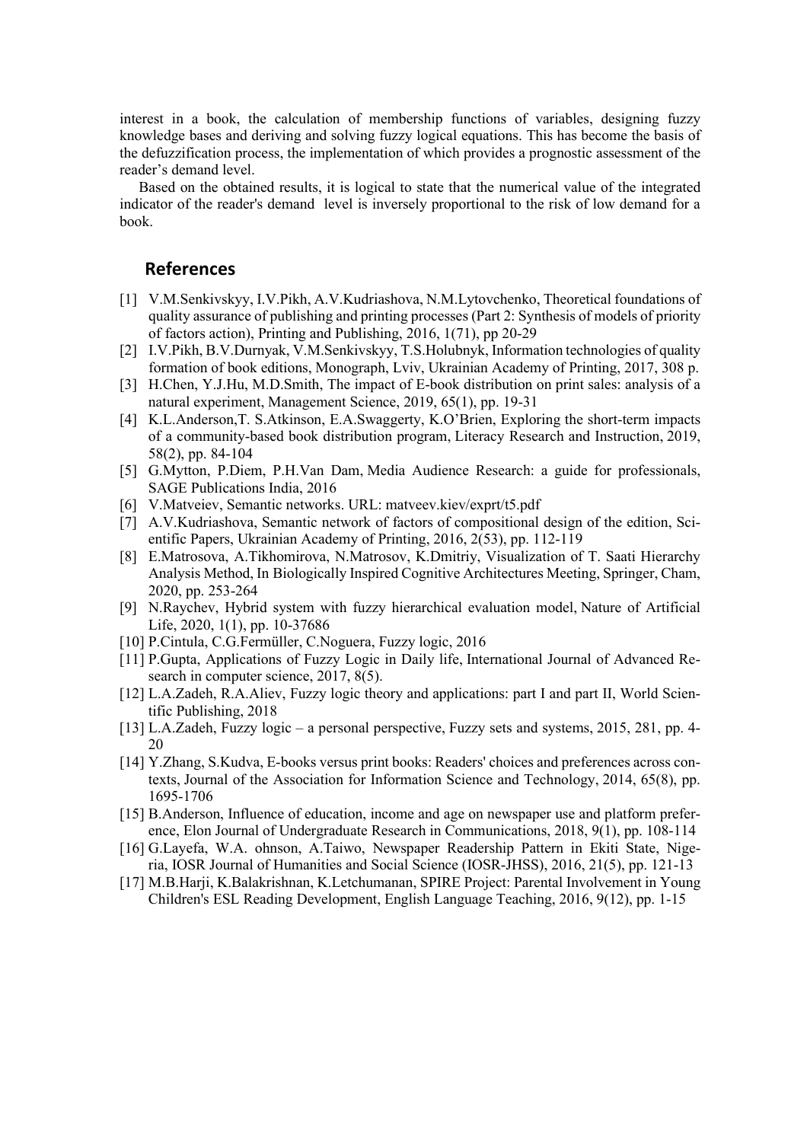interest in a book, the calculation of membership functions of variables, designing fuzzy knowledge bases and deriving and solving fuzzy logical equations. This has become the basis of the defuzzification process, the implementation of which provides a prognostic assessment of the reader's demand level.

Based on the obtained results, it is logical to state that the numerical value of the integrated indicator of the reader's demand level is inversely proportional to the risk of low demand for a book.

# **References**

- [1] V.М.Senkivskyy, І.V.Pikh, А.V.Kudriashova, N.М.Lytovchenko, Theoretical foundations of quality assurance of publishing and printing processes (Part 2: Synthesis of models of priority of factors action), Printing and Publishing, 2016, 1(71), pp 20-29
- [2] I.V.Pikh, B.V.Durnyak, V.M.Senkivskyy, T.S.Holubnyk, Information technologies of quality formation of book editions, Monograph, Lviv, Ukrainian Academy of Printing, 2017, 308 p.
- [3] H.Chen, Y.J.Hu, M.D.Smith, The impact of E-book distribution on print sales: analysis of a natural experiment, Management Science, 2019, 65(1), pp. 19-31
- [4] K.L.Anderson,T. S.Atkinson, E.A.Swaggerty, K.O'Brien, Exploring the short-term impacts of a community-based book distribution program, Literacy Research and Instruction, 2019, 58(2), pp. 84-104
- [5] G.Mytton, P.Diem, P.H.Van Dam, Media Audience Research: a guide for professionals, SAGE Publications India, 2016
- [6] V.Matveiev, Semantic networks. URL: matveev.kiev/exprt/t5.pdf
- [7] A.V.Kudriashova, Semantic network of factors of compositional design of the edition, Scientific Papers, Ukrainian Academy of Printing, 2016, 2(53), pp. 112-119
- [8] E.Matrosova, A.Tikhomirova, N.Matrosov, K.Dmitriy, Visualization of T. Saati Hierarchy Analysis Method, In Biologically Inspired Cognitive Architectures Meeting, Springer, Cham, 2020, pp. 253-264
- [9] N.Raychev, Hybrid system with fuzzy hierarchical evaluation model, Nature of Artificial Life, 2020, 1(1), pp. 10-37686
- [10] P.Cintula, C.G.Fermüller, C.Noguera, Fuzzy logic, 2016
- [11] P.Gupta, Applications of Fuzzy Logic in Daily life, International Journal of Advanced Research in computer science, 2017, 8(5).
- [12] L.A.Zadeh, R.A.Aliev, Fuzzy logic theory and applications: part I and part II, World Scientific Publishing, 2018
- [13] L.A.Zadeh, Fuzzy logic a personal perspective, Fuzzy sets and systems, 2015, 281, pp. 4- 20
- [14] Y.Zhang, S.Kudva, E‐books versus print books: Readers' choices and preferences across contexts, Journal of the Association for Information Science and Technology, 2014, 65(8), pp. 1695-1706
- [15] B.Anderson, Influence of education, income and age on newspaper use and platform preference, Elon Journal of Undergraduate Research in Communications, 2018, 9(1), pp. 108-114
- [16] G.Layefa, W.A. ohnson, A.Taiwo, Newspaper Readership Pattern in Ekiti State, Nigeria, IOSR Journal of Humanities and Social Science (IOSR-JHSS), 2016, 21(5), pp. 121-13
- [17] M.B.Harji, K.Balakrishnan, K.Letchumanan, SPIRE Project: Parental Involvement in Young Children's ESL Reading Development, English Language Teaching, 2016, 9(12), pp. 1-15